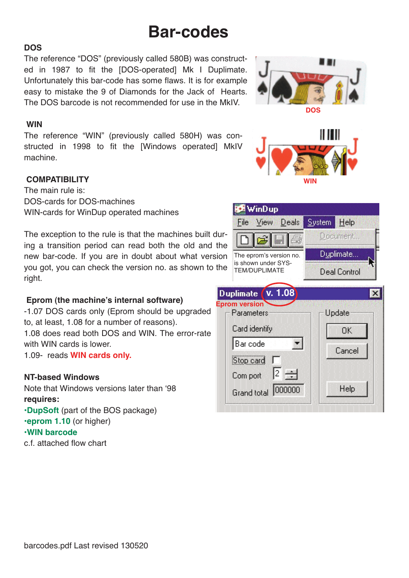# **Bar-codes**

#### **DOS**

The reference "DOS" (previously called 580B) was constructed in 1987 to fit the [DOS-operated] Mk I Duplimate. Unfortunately this bar-code has some flaws. It is for example easy to mistake the 9 of Diamonds for the Jack of Hearts. The DOS barcode is not recommended for use in the MkIV.

#### **WIN**

The reference "WIN" (previously called 580H) was constructed in 1998 to fit the [Windows operated] MkIV machine.

## **COMPATIBILITY**

The main rule is: DOS-cards for DOS-machines WIN-cards for WinDup operated machines

The exception to the rule is that the machines built during a transition period can read both the old and the new bar-code. If you are in doubt about what version you got, you can check the version no. as shown to the right.

## **Eprom (the machine's internal software)**

-1.07 DOS cards only (Eprom should be upgraded to, at least, 1.08 for a number of reasons). 1.08 does read both DOS and WIN. The error-rate with WIN cards is lower.

1.09- reads **WIN cards only.**

## **NT-based Windows**

Note that Windows versions later than '98 **requires:**

**•DupSoft** (part of the BOS package) **•eprom 1.10** (or higher) **•WIN barcode**

c.f. attached flow chart





**WIN**

System Help

Document...



**WinDup** 

File

View Deals